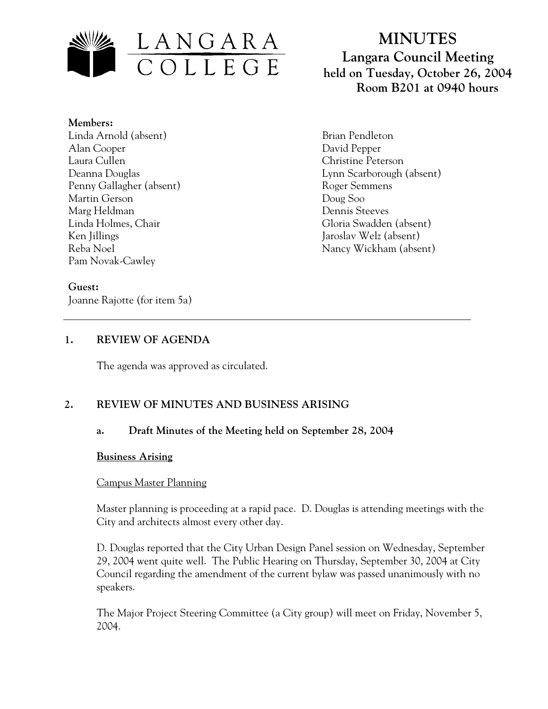

**Members:** Linda Arnold (absent) Alan Cooper Laura Cullen Deanna Douglas Penny Gallagher (absent) Martin Gerson Marg Heldman Linda Holmes, Chair Ken Jillings Reba Noel Pam Novak-Cawley

#### **Guest:**

Joanne Rajotte (for item 5a)

# **MINUTES Langara Council Meeting held on Tuesday, October 26, 2004 Room B201 at 0940 hours**

Brian Pendleton David Pepper Christine Peterson Lynn Scarborough (absent) Roger Semmens Doug Soo Dennis Steeves Gloria Swadden (absent) Jaroslav Welz (absent) Nancy Wickham (absent)

## **1. REVIEW OF AGENDA**

The agenda was approved as circulated.

## **2. REVIEW OF MINUTES AND BUSINESS ARISING**

## **a. Draft Minutes of the Meeting held on September 28, 2004**

#### **Business Arising**

#### Campus Master Planning

Master planning is proceeding at a rapid pace. D. Douglas is attending meetings with the City and architects almost every other day.

D. Douglas reported that the City Urban Design Panel session on Wednesday, September 29, 2004 went quite well. The Public Hearing on Thursday, September 30, 2004 at City Council regarding the amendment of the current bylaw was passed unanimously with no speakers.

The Major Project Steering Committee (a City group) will meet on Friday, November 5, 2004.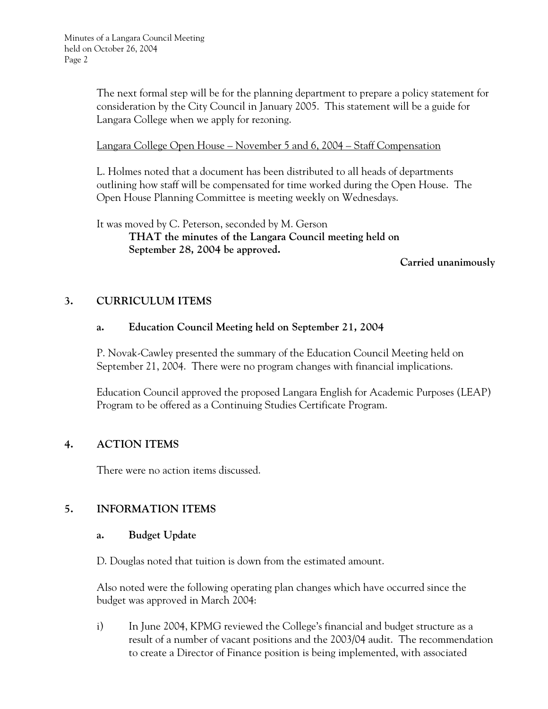The next formal step will be for the planning department to prepare a policy statement for consideration by the City Council in January 2005. This statement will be a guide for Langara College when we apply for rezoning.

Langara College Open House – November 5 and 6, 2004 – Staff Compensation

L. Holmes noted that a document has been distributed to all heads of departments outlining how staff will be compensated for time worked during the Open House. The Open House Planning Committee is meeting weekly on Wednesdays.

It was moved by C. Peterson, seconded by M. Gerson  **THAT the minutes of the Langara Council meeting held on September 28, 2004 be approved.** 

 **Carried unanimously** 

## **3. CURRICULUM ITEMS**

## **a. Education Council Meeting held on September 21, 2004**

P. Novak-Cawley presented the summary of the Education Council Meeting held on September 21, 2004. There were no program changes with financial implications.

Education Council approved the proposed Langara English for Academic Purposes (LEAP) Program to be offered as a Continuing Studies Certificate Program.

## **4. ACTION ITEMS**

There were no action items discussed.

## **5. INFORMATION ITEMS**

#### **a. Budget Update**

D. Douglas noted that tuition is down from the estimated amount.

Also noted were the following operating plan changes which have occurred since the budget was approved in March 2004:

i) In June 2004, KPMG reviewed the College's financial and budget structure as a result of a number of vacant positions and the 2003/04 audit. The recommendation to create a Director of Finance position is being implemented, with associated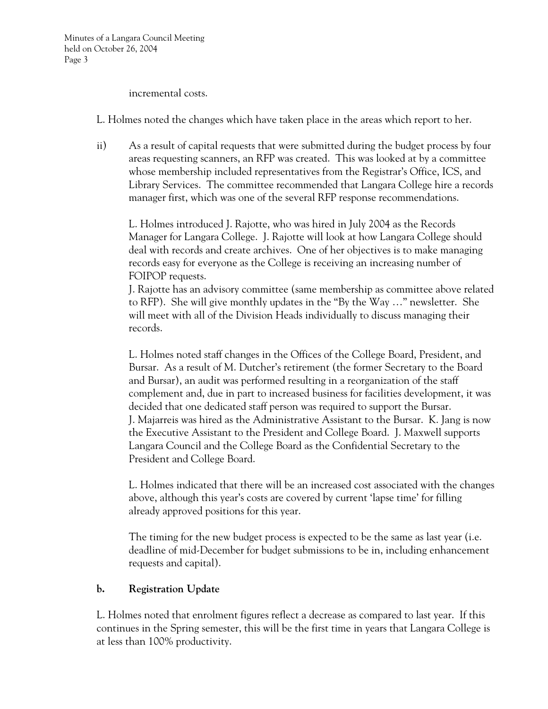incremental costs.

L. Holmes noted the changes which have taken place in the areas which report to her.

ii) As a result of capital requests that were submitted during the budget process by four areas requesting scanners, an RFP was created. This was looked at by a committee whose membership included representatives from the Registrar's Office, ICS, and Library Services. The committee recommended that Langara College hire a records manager first, which was one of the several RFP response recommendations.

L. Holmes introduced J. Rajotte, who was hired in July 2004 as the Records Manager for Langara College. J. Rajotte will look at how Langara College should deal with records and create archives. One of her objectives is to make managing records easy for everyone as the College is receiving an increasing number of FOIPOP requests.

J. Rajotte has an advisory committee (same membership as committee above related to RFP). She will give monthly updates in the "By the Way …" newsletter. She will meet with all of the Division Heads individually to discuss managing their records.

L. Holmes noted staff changes in the Offices of the College Board, President, and Bursar. As a result of M. Dutcher's retirement (the former Secretary to the Board and Bursar), an audit was performed resulting in a reorganization of the staff complement and, due in part to increased business for facilities development, it was decided that one dedicated staff person was required to support the Bursar. J. Majarreis was hired as the Administrative Assistant to the Bursar. K. Jang is now the Executive Assistant to the President and College Board. J. Maxwell supports Langara Council and the College Board as the Confidential Secretary to the President and College Board.

L. Holmes indicated that there will be an increased cost associated with the changes above, although this year's costs are covered by current 'lapse time' for filling already approved positions for this year.

The timing for the new budget process is expected to be the same as last year (i.e. deadline of mid-December for budget submissions to be in, including enhancement requests and capital).

# **b. Registration Update**

L. Holmes noted that enrolment figures reflect a decrease as compared to last year. If this continues in the Spring semester, this will be the first time in years that Langara College is at less than 100% productivity.